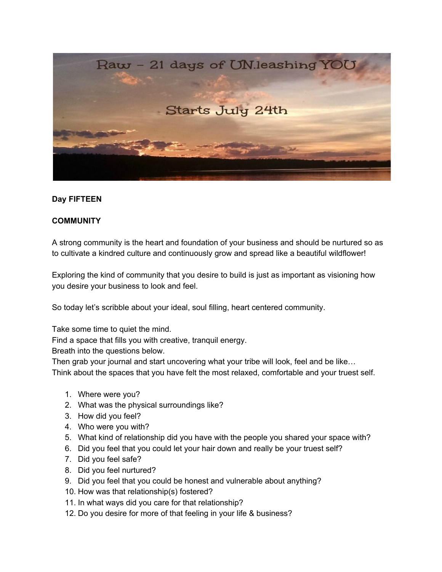

## **Day FIFTEEN**

## **COMMUNITY**

A strong community is the heart and foundation of your business and should be nurtured so as to cultivate a kindred culture and continuously grow and spread like a beautiful wildflower!

Exploring the kind of community that you desire to build is just as important as visioning how you desire your business to look and feel.

So today let's scribble about your ideal, soul filling, heart centered community.

Take some time to quiet the mind.

Find a space that fills you with creative, tranquil energy.

Breath into the questions below.

Then grab your journal and start uncovering what your tribe will look, feel and be like… Think about the spaces that you have felt the most relaxed, comfortable and your truest self.

- 1. Where were you?
- 2. What was the physical surroundings like?
- 3. How did you feel?
- 4. Who were you with?
- 5. What kind of relationship did you have with the people you shared your space with?
- 6. Did you feel that you could let your hair down and really be your truest self?
- 7. Did you feel safe?
- 8. Did you feel nurtured?
- 9. Did you feel that you could be honest and vulnerable about anything?
- 10. How was that relationship(s) fostered?
- 11. In what ways did you care for that relationship?
- 12. Do you desire for more of that feeling in your life & business?